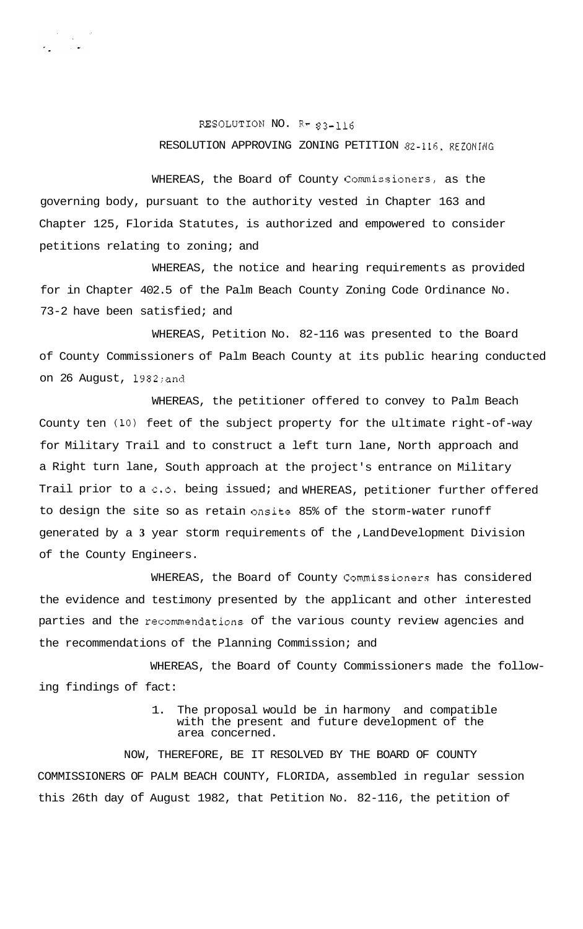## RESOLUTION NO. R- 83-116 RESOLUTION APPROVING ZONING PETITION 82-116, **REZONING**

WHEREAS, the Board of County Commissioners, as the governing body, pursuant to the authority vested in Chapter 163 and Chapter 125, Florida Statutes, is authorized and empowered to consider petitions relating to zoning; and

WHEREAS, the notice and hearing requirements as provided for in Chapter 402.5 of the Palm Beach County Zoning Code Ordinance No. 73-2 have been satisfied; and

WHEREAS, Petition No. 82-116 was presented to the Board of County Commissioners of Palm Beach County at its public hearing conducted on 26 August, 1982;and

WHEREAS, the petitioner offered to convey to Palm Beach County ten **(10)** feet of the subject property for the ultimate right-of-way for Military Trail and to construct a left turn lane, North approach and a Right turn lane, South approach at the project's entrance on Military Trail prior to a c.o. being issued; and WHEREAS, petitioner further offered to design the site so as retain onsite 85% of the storm-water runoff generated by a **3** year storm requirements of the ,Land Development Division of the County Engineers.

WHEREAS, the Board of County Commissioners has considered the evidence and testimony presented by the applicant and other interested parties and the recommendations of the various county review agencies and the recommendations of the Planning Commission; and

WHEREAS, the Board of County Commissioners made the following findings of fact:

> 1. The proposal would be in harmony and compatible with the present and future development of the area concerned.

NOW, THEREFORE, BE IT RESOLVED BY THE BOARD OF COUNTY COMMISSIONERS OF PALM BEACH COUNTY, FLORIDA, assembled in regular session this 26th day of August 1982, that Petition No. 82-116, the petition of